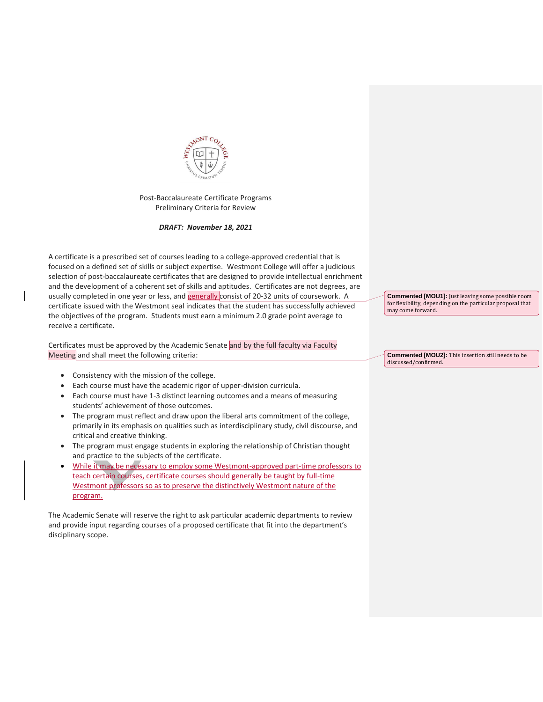

Post-Baccalaureate Certificate Programs Preliminary Criteria for Review

*DRAFT: November 18, 2021*

A certificate is a prescribed set of courses leading to a college-approved credential that is focused on a defined set of skills or subject expertise. Westmont College will offer a judicious selection of post-baccalaureate certificates that are designed to provide intellectual enrichment and the development of a coherent set of skills and aptitudes. Certificates are not degrees, are usually completed in one year or less, and **generally** consist of 20-32 units of coursework. A certificate issued with the Westmont seal indicates that the student has successfully achieved the objectives of the program. Students must earn a minimum 2.0 grade point average to receive a certificate.

Certificates must be approved by the Academic Senate and by the full faculty via Faculty Meeting and shall meet the following criteria:

- Consistency with the mission of the college.
- Each course must have the academic rigor of upper-division curricula.
- Each course must have 1-3 distinct learning outcomes and a means of measuring students' achievement of those outcomes.
- The program must reflect and draw upon the liberal arts commitment of the college, primarily in its emphasis on qualities such as interdisciplinary study, civil discourse, and critical and creative thinking.
- The program must engage students in exploring the relationship of Christian thought and practice to the subjects of the certificate.
- While it may be necessary to employ some Westmont-approved part-time professors to teach certain courses, certificate courses should generally be taught by full-time Westmont professors so as to preserve the distinctively Westmont nature of the program.

The Academic Senate will reserve the right to ask particular academic departments to review and provide input regarding courses of a proposed certificate that fit into the department's disciplinary scope.

**Commented [MOU1]:** Just leaving some possible room for flexibility, depending on the particular proposal that may come forward.

**Commented [MOU2]:** This insertion still needs to be discussed/confirmed.